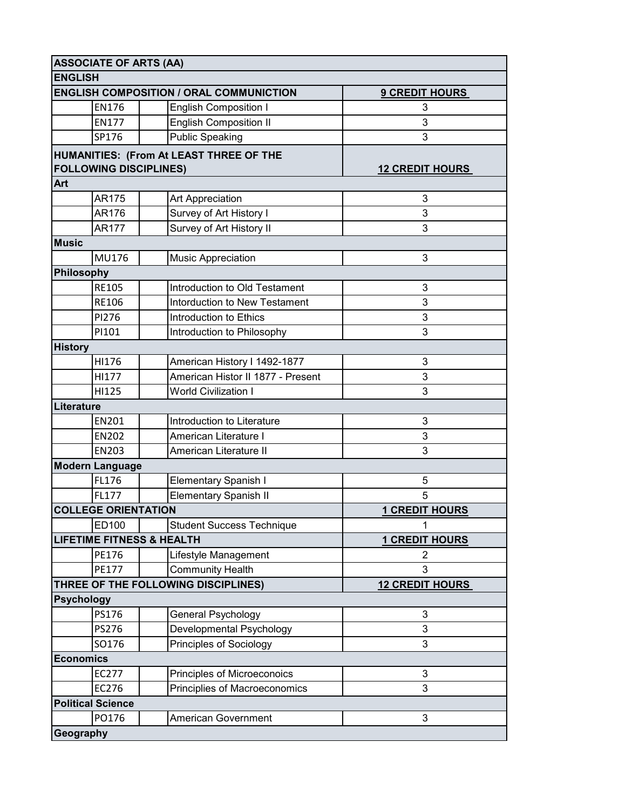|                | <b>ASSOCIATE OF ARTS (AA)</b>        |                                                |                        |
|----------------|--------------------------------------|------------------------------------------------|------------------------|
|                | <b>ENGLISH</b>                       |                                                |                        |
|                |                                      | <b>ENGLISH COMPOSITION / ORAL COMMUNICTION</b> | <b>9 CREDIT HOURS</b>  |
|                | <b>EN176</b>                         | <b>English Composition I</b>                   | 3                      |
|                | <b>EN177</b>                         | <b>English Composition II</b>                  | 3                      |
|                | SP176                                | <b>Public Speaking</b>                         | 3                      |
|                |                                      | HUMANITIES: (From At LEAST THREE OF THE        |                        |
|                | <b>FOLLOWING DISCIPLINES)</b>        |                                                | <b>12 CREDIT HOURS</b> |
| Art            |                                      |                                                |                        |
|                | <b>AR175</b>                         | Art Appreciation                               | 3                      |
|                | AR176                                | Survey of Art History I                        | 3                      |
|                | AR177                                | Survey of Art History II                       | 3                      |
| <b>Music</b>   |                                      |                                                |                        |
|                | MU176                                | <b>Music Appreciation</b>                      | 3                      |
|                | Philosophy                           |                                                |                        |
|                | <b>RE105</b>                         | Introduction to Old Testament                  | 3                      |
|                | <b>RE106</b>                         | <b>Intorduction to New Testament</b>           | 3                      |
|                | PI276                                | Introduction to Ethics                         | 3                      |
|                | PI101                                | Introduction to Philosophy                     | 3                      |
| <b>History</b> |                                      |                                                |                        |
|                | HI176                                | American History I 1492-1877                   | 3                      |
|                | HI177                                | American Histor II 1877 - Present              | 3                      |
|                | HI125                                | <b>World Civilization I</b>                    | 3                      |
|                | Literature                           |                                                |                        |
|                | EN201                                | Introduction to Literature                     | 3                      |
|                | <b>EN202</b>                         | American Literature I                          | 3                      |
|                | <b>EN203</b>                         | American Literature II                         | 3                      |
|                | <b>Modern Language</b>               |                                                |                        |
|                | FL176                                | Elementary Spanish I                           | 5                      |
|                | FL177                                | <b>Elementary Spanish II</b>                   | 5                      |
|                | <b>COLLEGE ORIENTATION</b>           |                                                | <b>1 CREDIT HOURS</b>  |
|                | ED100                                | <b>Student Success Technique</b>               | 1                      |
|                | <b>LIFETIME FITNESS &amp; HEALTH</b> |                                                | <b>1 CREDIT HOURS</b>  |
|                | PE176                                | Lifestyle Management                           | 2                      |
|                | <b>PE177</b>                         | <b>Community Health</b>                        | 3                      |
|                |                                      | THREE OF THE FOLLOWING DISCIPLINES)            | <b>12 CREDIT HOURS</b> |
|                | <b>Psychology</b>                    |                                                |                        |
|                | PS176                                | General Psychology                             | 3                      |
|                | <b>PS276</b>                         | Developmental Psychology                       | 3                      |
|                | SO176                                | Principles of Sociology                        | 3                      |
|                | <b>Economics</b>                     |                                                |                        |
|                | EC277                                | Principles of Microeconoics                    | 3                      |
|                | EC276                                | Principlies of Macroeconomics                  | 3                      |
|                | <b>Political Science</b>             |                                                |                        |
|                | PO176                                | <b>American Government</b>                     | 3                      |
|                | Geography                            |                                                |                        |
|                |                                      |                                                |                        |